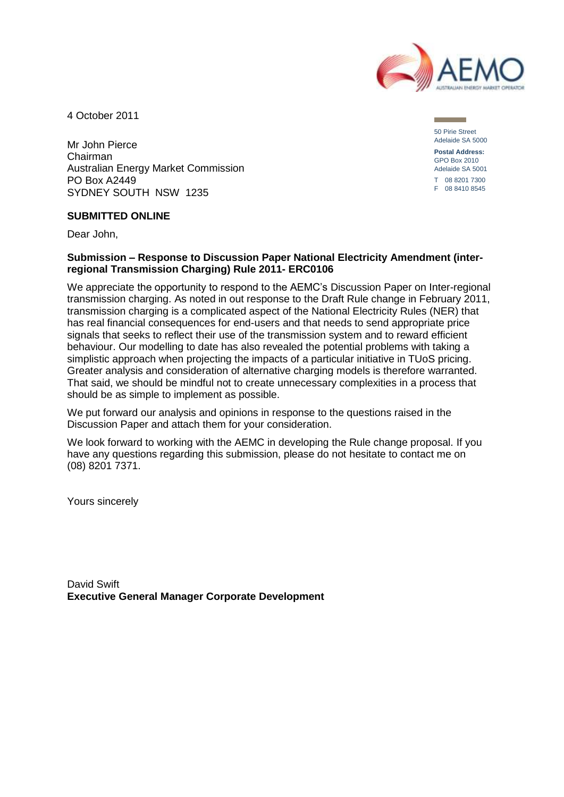

4 October 2011

Mr John Pierce Chairman Australian Energy Market Commission PO Box A2449 SYDNEY SOUTH NSW 1235

50 Pirie Street Adelaide SA 5000 **Postal Address:** GPO Box 2010 Adelaide SA 5001 T 08 8201 7300 F 08 8410 8545

#### **SUBMITTED ONLINE**

Dear John,

#### **Submission – Response to Discussion Paper National Electricity Amendment (interregional Transmission Charging) Rule 2011- ERC0106**

We appreciate the opportunity to respond to the AEMC's Discussion Paper on Inter-regional transmission charging. As noted in out response to the Draft Rule change in February 2011, transmission charging is a complicated aspect of the National Electricity Rules (NER) that has real financial consequences for end-users and that needs to send appropriate price signals that seeks to reflect their use of the transmission system and to reward efficient behaviour. Our modelling to date has also revealed the potential problems with taking a simplistic approach when projecting the impacts of a particular initiative in TUoS pricing. Greater analysis and consideration of alternative charging models is therefore warranted. That said, we should be mindful not to create unnecessary complexities in a process that should be as simple to implement as possible.

We put forward our analysis and opinions in response to the questions raised in the Discussion Paper and attach them for your consideration.

We look forward to working with the AEMC in developing the Rule change proposal. If you have any questions regarding this submission, please do not hesitate to contact me on (08) 8201 7371.

Yours sincerely

David Swift **Executive General Manager Corporate Development**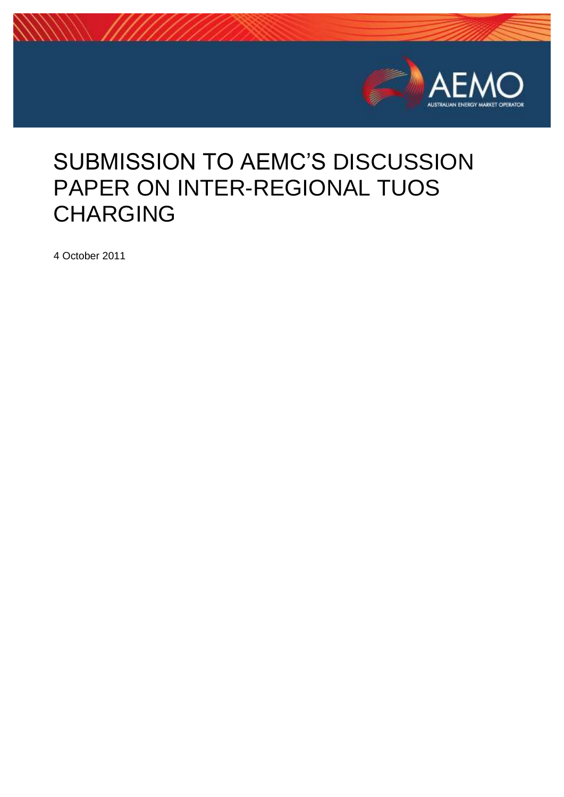

# SUBMISSION TO AEMC'S DISCUSSION PAPER ON INTER-REGIONAL TUOS CHARGING

4 October 2011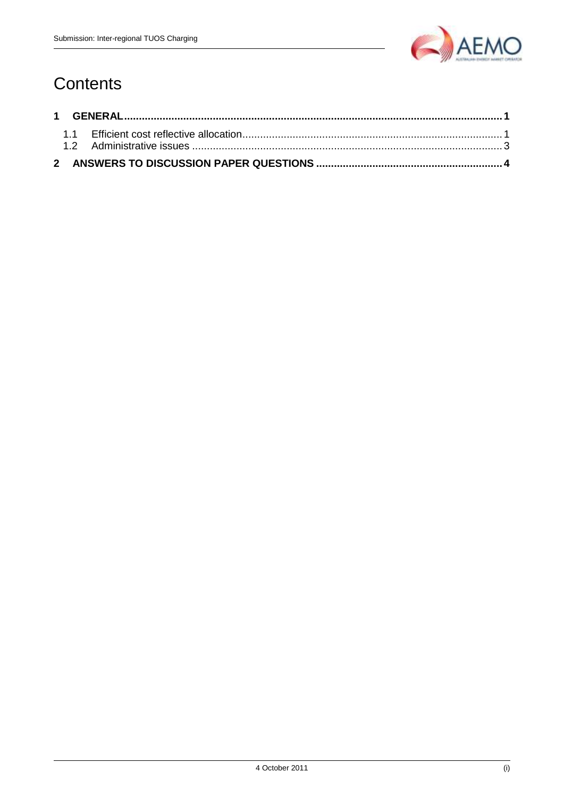

## Contents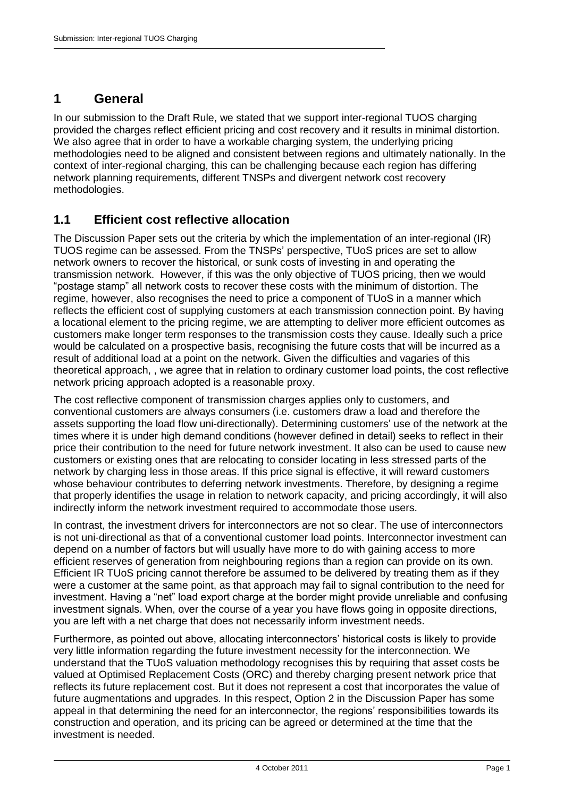## <span id="page-3-0"></span>**1 General**

In our submission to the Draft Rule, we stated that we support inter-regional TUOS charging provided the charges reflect efficient pricing and cost recovery and it results in minimal distortion. We also agree that in order to have a workable charging system, the underlying pricing methodologies need to be aligned and consistent between regions and ultimately nationally. In the context of inter-regional charging, this can be challenging because each region has differing network planning requirements, different TNSPs and divergent network cost recovery methodologies.

### <span id="page-3-1"></span>**1.1 Efficient cost reflective allocation**

The Discussion Paper sets out the criteria by which the implementation of an inter-regional (IR) TUOS regime can be assessed. From the TNSPs' perspective, TUoS prices are set to allow network owners to recover the historical, or sunk costs of investing in and operating the transmission network. However, if this was the only objective of TUOS pricing, then we would "postage stamp" all network costs to recover these costs with the minimum of distortion. The regime, however, also recognises the need to price a component of TUoS in a manner which reflects the efficient cost of supplying customers at each transmission connection point. By having a locational element to the pricing regime, we are attempting to deliver more efficient outcomes as customers make longer term responses to the transmission costs they cause. Ideally such a price would be calculated on a prospective basis, recognising the future costs that will be incurred as a result of additional load at a point on the network. Given the difficulties and vagaries of this theoretical approach, , we agree that in relation to ordinary customer load points, the cost reflective network pricing approach adopted is a reasonable proxy.

The cost reflective component of transmission charges applies only to customers, and conventional customers are always consumers (i.e. customers draw a load and therefore the assets supporting the load flow uni-directionally). Determining customers' use of the network at the times where it is under high demand conditions (however defined in detail) seeks to reflect in their price their contribution to the need for future network investment. It also can be used to cause new customers or existing ones that are relocating to consider locating in less stressed parts of the network by charging less in those areas. If this price signal is effective, it will reward customers whose behaviour contributes to deferring network investments. Therefore, by designing a regime that properly identifies the usage in relation to network capacity, and pricing accordingly, it will also indirectly inform the network investment required to accommodate those users.

In contrast, the investment drivers for interconnectors are not so clear. The use of interconnectors is not uni-directional as that of a conventional customer load points. Interconnector investment can depend on a number of factors but will usually have more to do with gaining access to more efficient reserves of generation from neighbouring regions than a region can provide on its own. Efficient IR TUoS pricing cannot therefore be assumed to be delivered by treating them as if they were a customer at the same point, as that approach may fail to signal contribution to the need for investment. Having a "net" load export charge at the border might provide unreliable and confusing investment signals. When, over the course of a year you have flows going in opposite directions, you are left with a net charge that does not necessarily inform investment needs.

Furthermore, as pointed out above, allocating interconnectors' historical costs is likely to provide very little information regarding the future investment necessity for the interconnection. We understand that the TUoS valuation methodology recognises this by requiring that asset costs be valued at Optimised Replacement Costs (ORC) and thereby charging present network price that reflects its future replacement cost. But it does not represent a cost that incorporates the value of future augmentations and upgrades. In this respect, Option 2 in the Discussion Paper has some appeal in that determining the need for an interconnector, the regions' responsibilities towards its construction and operation, and its pricing can be agreed or determined at the time that the investment is needed.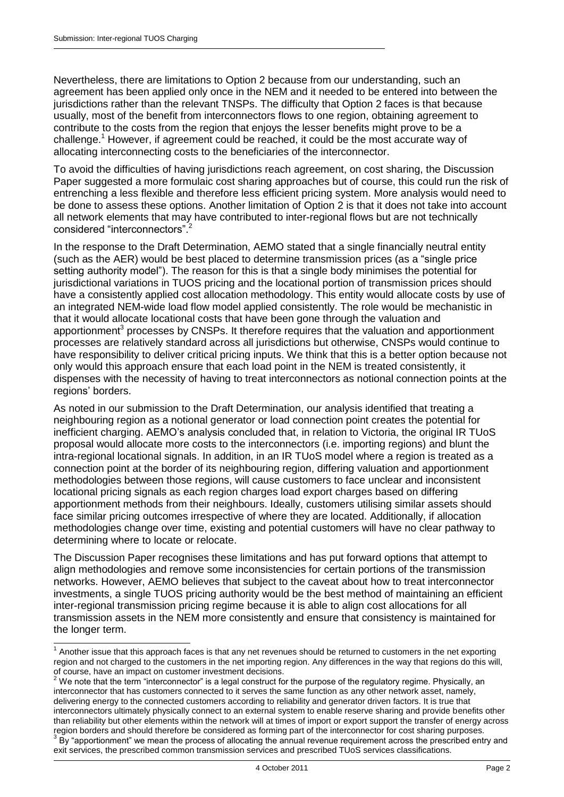Nevertheless, there are limitations to Option 2 because from our understanding, such an agreement has been applied only once in the NEM and it needed to be entered into between the jurisdictions rather than the relevant TNSPs. The difficulty that Option 2 faces is that because usually, most of the benefit from interconnectors flows to one region, obtaining agreement to contribute to the costs from the region that enjoys the lesser benefits might prove to be a challenge. <sup>1</sup> However, if agreement could be reached, it could be the most accurate way of allocating interconnecting costs to the beneficiaries of the interconnector.

To avoid the difficulties of having jurisdictions reach agreement, on cost sharing, the Discussion Paper suggested a more formulaic cost sharing approaches but of course, this could run the risk of entrenching a less flexible and therefore less efficient pricing system. More analysis would need to be done to assess these options. Another limitation of Option 2 is that it does not take into account all network elements that may have contributed to inter-regional flows but are not technically considered "interconnectors"

In the response to the Draft Determination, AEMO stated that a single financially neutral entity (such as the AER) would be best placed to determine transmission prices (as a "single price setting authority model"). The reason for this is that a single body minimises the potential for jurisdictional variations in TUOS pricing and the locational portion of transmission prices should have a consistently applied cost allocation methodology. This entity would allocate costs by use of an integrated NEM-wide load flow model applied consistently. The role would be mechanistic in that it would allocate locational costs that have been gone through the valuation and apportionment<sup>3</sup> processes by CNSPs. It therefore requires that the valuation and apportionment processes are relatively standard across all jurisdictions but otherwise, CNSPs would continue to have responsibility to deliver critical pricing inputs. We think that this is a better option because not only would this approach ensure that each load point in the NEM is treated consistently, it dispenses with the necessity of having to treat interconnectors as notional connection points at the regions' borders.

As noted in our submission to the Draft Determination, our analysis identified that treating a neighbouring region as a notional generator or load connection point creates the potential for inefficient charging. AEMO's analysis concluded that, in relation to Victoria, the original IR TUoS proposal would allocate more costs to the interconnectors (i.e. importing regions) and blunt the intra-regional locational signals. In addition, in an IR TUoS model where a region is treated as a connection point at the border of its neighbouring region, differing valuation and apportionment methodologies between those regions, will cause customers to face unclear and inconsistent locational pricing signals as each region charges load export charges based on differing apportionment methods from their neighbours. Ideally, customers utilising similar assets should face similar pricing outcomes irrespective of where they are located. Additionally, if allocation methodologies change over time, existing and potential customers will have no clear pathway to determining where to locate or relocate.

The Discussion Paper recognises these limitations and has put forward options that attempt to align methodologies and remove some inconsistencies for certain portions of the transmission networks. However, AEMO believes that subject to the caveat about how to treat interconnector investments, a single TUOS pricing authority would be the best method of maintaining an efficient inter-regional transmission pricing regime because it is able to align cost allocations for all transmission assets in the NEM more consistently and ensure that consistency is maintained for the longer term.

 1 Another issue that this approach faces is that any net revenues should be returned to customers in the net exporting region and not charged to the customers in the net importing region. Any differences in the way that regions do this will, of course, have an impact on customer investment decisions.

We note that the term "interconnector" is a legal construct for the purpose of the regulatory regime. Physically, an interconnector that has customers connected to it serves the same function as any other network asset, namely, delivering energy to the connected customers according to reliability and generator driven factors. It is true that interconnectors ultimately physically connect to an external system to enable reserve sharing and provide benefits other than reliability but other elements within the network will at times of import or export support the transfer of energy across region borders and should therefore be considered as forming part of the interconnector for cost sharing purposes.<br><sup>3</sup> By "appartianment" we mean the presence of ellecating the appuel revenue requirement across the prescri

By "apportionment" we mean the process of allocating the annual revenue requirement across the prescribed entry and exit services, the prescribed common transmission services and prescribed TUoS services classifications.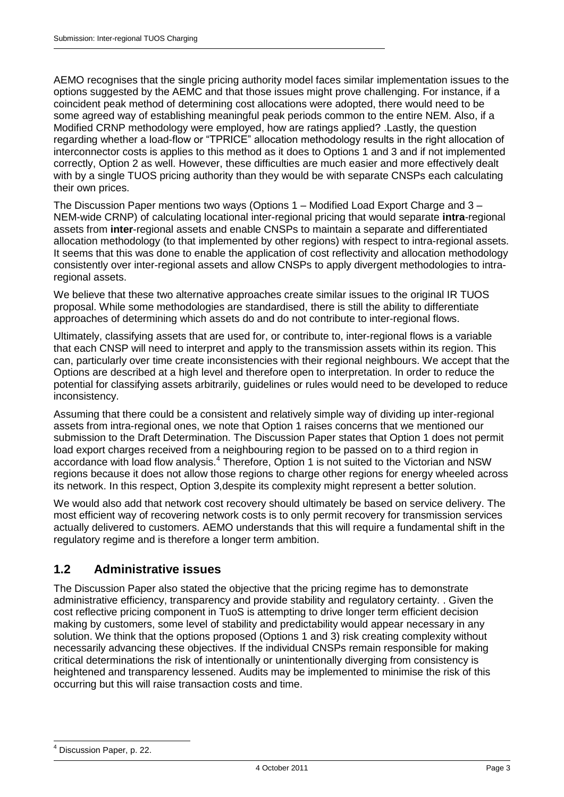AEMO recognises that the single pricing authority model faces similar implementation issues to the options suggested by the AEMC and that those issues might prove challenging. For instance, if a coincident peak method of determining cost allocations were adopted, there would need to be some agreed way of establishing meaningful peak periods common to the entire NEM. Also, if a Modified CRNP methodology were employed, how are ratings applied? .Lastly, the question regarding whether a load-flow or "TPRICE" allocation methodology results in the right allocation of interconnector costs is applies to this method as it does to Options 1 and 3 and if not implemented correctly, Option 2 as well. However, these difficulties are much easier and more effectively dealt with by a single TUOS pricing authority than they would be with separate CNSPs each calculating their own prices.

The Discussion Paper mentions two ways (Options 1 – Modified Load Export Charge and 3 – NEM-wide CRNP) of calculating locational inter-regional pricing that would separate **intra**-regional assets from **inter**-regional assets and enable CNSPs to maintain a separate and differentiated allocation methodology (to that implemented by other regions) with respect to intra-regional assets. It seems that this was done to enable the application of cost reflectivity and allocation methodology consistently over inter-regional assets and allow CNSPs to apply divergent methodologies to intraregional assets.

We believe that these two alternative approaches create similar issues to the original IR TUOS proposal. While some methodologies are standardised, there is still the ability to differentiate approaches of determining which assets do and do not contribute to inter-regional flows.

Ultimately, classifying assets that are used for, or contribute to, inter-regional flows is a variable that each CNSP will need to interpret and apply to the transmission assets within its region. This can, particularly over time create inconsistencies with their regional neighbours. We accept that the Options are described at a high level and therefore open to interpretation. In order to reduce the potential for classifying assets arbitrarily, guidelines or rules would need to be developed to reduce inconsistency.

Assuming that there could be a consistent and relatively simple way of dividing up inter-regional assets from intra-regional ones, we note that Option 1 raises concerns that we mentioned our submission to the Draft Determination. The Discussion Paper states that Option 1 does not permit load export charges received from a neighbouring region to be passed on to a third region in accordance with load flow analysis.<sup>4</sup> Therefore, Option 1 is not suited to the Victorian and NSW regions because it does not allow those regions to charge other regions for energy wheeled across its network. In this respect, Option 3,despite its complexity might represent a better solution.

We would also add that network cost recovery should ultimately be based on service delivery. The most efficient way of recovering network costs is to only permit recovery for transmission services actually delivered to customers. AEMO understands that this will require a fundamental shift in the regulatory regime and is therefore a longer term ambition.

## <span id="page-5-0"></span>**1.2 Administrative issues**

The Discussion Paper also stated the objective that the pricing regime has to demonstrate administrative efficiency, transparency and provide stability and regulatory certainty. . Given the cost reflective pricing component in TuoS is attempting to drive longer term efficient decision making by customers, some level of stability and predictability would appear necessary in any solution. We think that the options proposed (Options 1 and 3) risk creating complexity without necessarily advancing these objectives. If the individual CNSPs remain responsible for making critical determinations the risk of intentionally or unintentionally diverging from consistency is heightened and transparency lessened. Audits may be implemented to minimise the risk of this occurring but this will raise transaction costs and time.

<sup>-</sup>Discussion Paper, p. 22.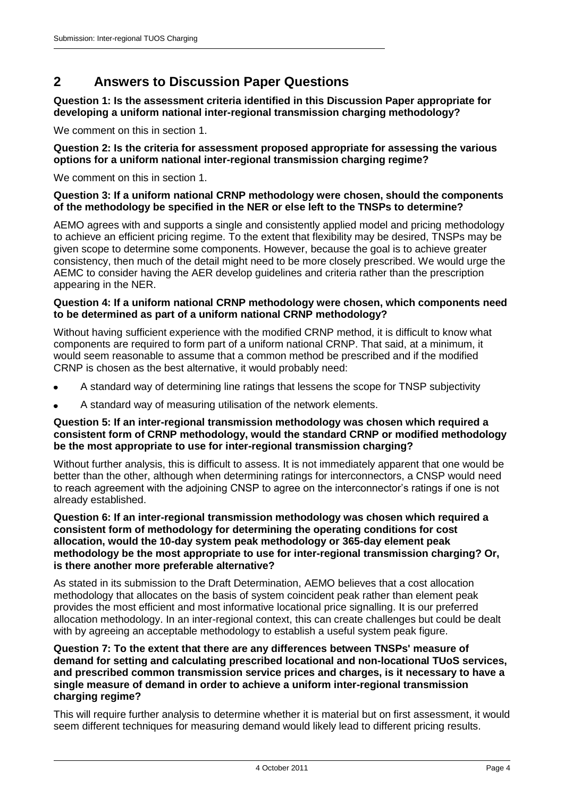## <span id="page-6-0"></span>**2 Answers to Discussion Paper Questions**

**Question 1: Is the assessment criteria identified in this Discussion Paper appropriate for developing a uniform national inter-regional transmission charging methodology?** 

We comment on this in section 1.

#### **Question 2: Is the criteria for assessment proposed appropriate for assessing the various options for a uniform national inter-regional transmission charging regime?**

We comment on this in section 1.

#### **Question 3: If a uniform national CRNP methodology were chosen, should the components of the methodology be specified in the NER or else left to the TNSPs to determine?**

AEMO agrees with and supports a single and consistently applied model and pricing methodology to achieve an efficient pricing regime. To the extent that flexibility may be desired, TNSPs may be given scope to determine some components. However, because the goal is to achieve greater consistency, then much of the detail might need to be more closely prescribed. We would urge the AEMC to consider having the AER develop guidelines and criteria rather than the prescription appearing in the NER.

#### **Question 4: If a uniform national CRNP methodology were chosen, which components need to be determined as part of a uniform national CRNP methodology?**

Without having sufficient experience with the modified CRNP method, it is difficult to know what components are required to form part of a uniform national CRNP. That said, at a minimum, it would seem reasonable to assume that a common method be prescribed and if the modified CRNP is chosen as the best alternative, it would probably need:

- A standard way of determining line ratings that lessens the scope for TNSP subjectivity
- A standard way of measuring utilisation of the network elements.

#### **Question 5: If an inter-regional transmission methodology was chosen which required a consistent form of CRNP methodology, would the standard CRNP or modified methodology be the most appropriate to use for inter-regional transmission charging?**

Without further analysis, this is difficult to assess. It is not immediately apparent that one would be better than the other, although when determining ratings for interconnectors, a CNSP would need to reach agreement with the adjoining CNSP to agree on the interconnector's ratings if one is not already established.

#### **Question 6: If an inter-regional transmission methodology was chosen which required a consistent form of methodology for determining the operating conditions for cost allocation, would the 10-day system peak methodology or 365-day element peak methodology be the most appropriate to use for inter-regional transmission charging? Or, is there another more preferable alternative?**

As stated in its submission to the Draft Determination, AEMO believes that a cost allocation methodology that allocates on the basis of system coincident peak rather than element peak provides the most efficient and most informative locational price signalling. It is our preferred allocation methodology. In an inter-regional context, this can create challenges but could be dealt with by agreeing an acceptable methodology to establish a useful system peak figure.

#### **Question 7: To the extent that there are any differences between TNSPs' measure of demand for setting and calculating prescribed locational and non-locational TUoS services, and prescribed common transmission service prices and charges, is it necessary to have a single measure of demand in order to achieve a uniform inter-regional transmission charging regime?**

This will require further analysis to determine whether it is material but on first assessment, it would seem different techniques for measuring demand would likely lead to different pricing results.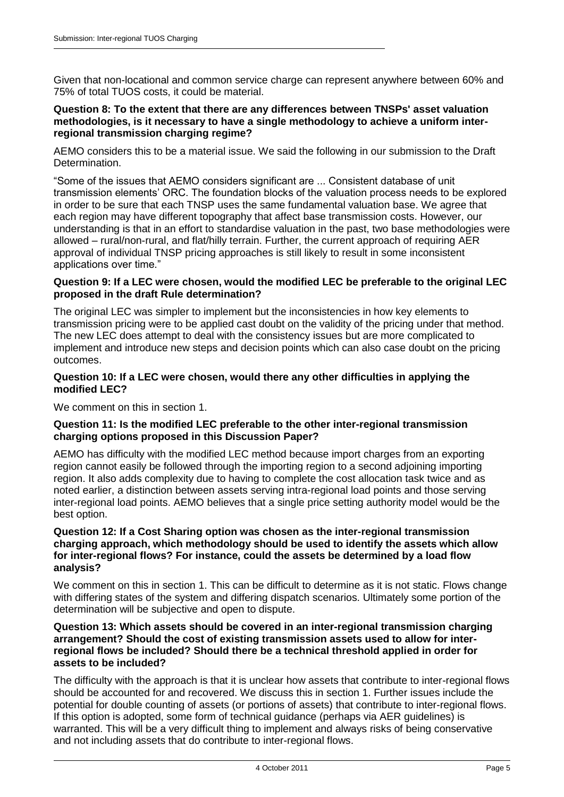Given that non-locational and common service charge can represent anywhere between 60% and 75% of total TUOS costs, it could be material.

#### **Question 8: To the extent that there are any differences between TNSPs' asset valuation methodologies, is it necessary to have a single methodology to achieve a uniform interregional transmission charging regime?**

AEMO considers this to be a material issue. We said the following in our submission to the Draft Determination.

"Some of the issues that AEMO considers significant are ... Consistent database of unit transmission elements' ORC. The foundation blocks of the valuation process needs to be explored in order to be sure that each TNSP uses the same fundamental valuation base. We agree that each region may have different topography that affect base transmission costs. However, our understanding is that in an effort to standardise valuation in the past, two base methodologies were allowed – rural/non-rural, and flat/hilly terrain. Further, the current approach of requiring AER approval of individual TNSP pricing approaches is still likely to result in some inconsistent applications over time."

#### **Question 9: If a LEC were chosen, would the modified LEC be preferable to the original LEC proposed in the draft Rule determination?**

The original LEC was simpler to implement but the inconsistencies in how key elements to transmission pricing were to be applied cast doubt on the validity of the pricing under that method. The new LEC does attempt to deal with the consistency issues but are more complicated to implement and introduce new steps and decision points which can also case doubt on the pricing outcomes.

#### **Question 10: If a LEC were chosen, would there any other difficulties in applying the modified LEC?**

We comment on this in section 1.

#### **Question 11: Is the modified LEC preferable to the other inter-regional transmission charging options proposed in this Discussion Paper?**

AEMO has difficulty with the modified LEC method because import charges from an exporting region cannot easily be followed through the importing region to a second adjoining importing region. It also adds complexity due to having to complete the cost allocation task twice and as noted earlier, a distinction between assets serving intra-regional load points and those serving inter-regional load points. AEMO believes that a single price setting authority model would be the best option.

#### **Question 12: If a Cost Sharing option was chosen as the inter-regional transmission charging approach, which methodology should be used to identify the assets which allow for inter-regional flows? For instance, could the assets be determined by a load flow analysis?**

We comment on this in section 1. This can be difficult to determine as it is not static. Flows change with differing states of the system and differing dispatch scenarios. Ultimately some portion of the determination will be subjective and open to dispute.

#### **Question 13: Which assets should be covered in an inter-regional transmission charging arrangement? Should the cost of existing transmission assets used to allow for interregional flows be included? Should there be a technical threshold applied in order for assets to be included?**

The difficulty with the approach is that it is unclear how assets that contribute to inter-regional flows should be accounted for and recovered. We discuss this in section 1. Further issues include the potential for double counting of assets (or portions of assets) that contribute to inter-regional flows. If this option is adopted, some form of technical guidance (perhaps via AER guidelines) is warranted. This will be a very difficult thing to implement and always risks of being conservative and not including assets that do contribute to inter-regional flows.